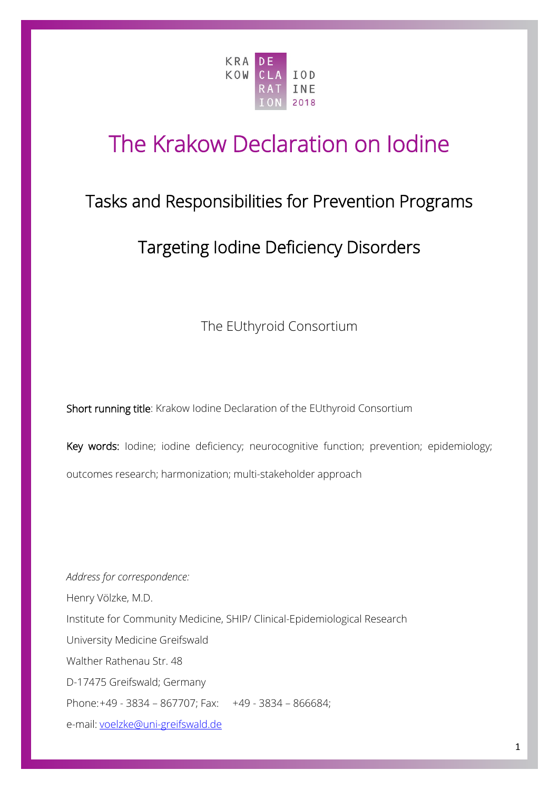

# The Krakow Declaration on Iodine

# Tasks and Responsibilities for Prevention Programs

# Targeting Iodine Deficiency Disorders

The EUthyroid Consortium

Short running title: Krakow Iodine Declaration of the EUthyroid Consortium

Key words: lodine; iodine deficiency; neurocognitive function; prevention; epidemiology; outcomes research; harmonization; multi-stakeholder approach

*Address for correspondence:* Henry Völzke, M.D. Institute for Community Medicine, SHIP/ Clinical-Epidemiological Research University Medicine Greifswald Walther Rathenau Str. 48 D-17475 Greifswald; Germany Phone:+49 - 3834 – 867707; Fax: +49 - 3834 – 866684; e-mail: [voelzke@uni-greifswald.de](mailto:voelzke@mail.uni-greifswald.de)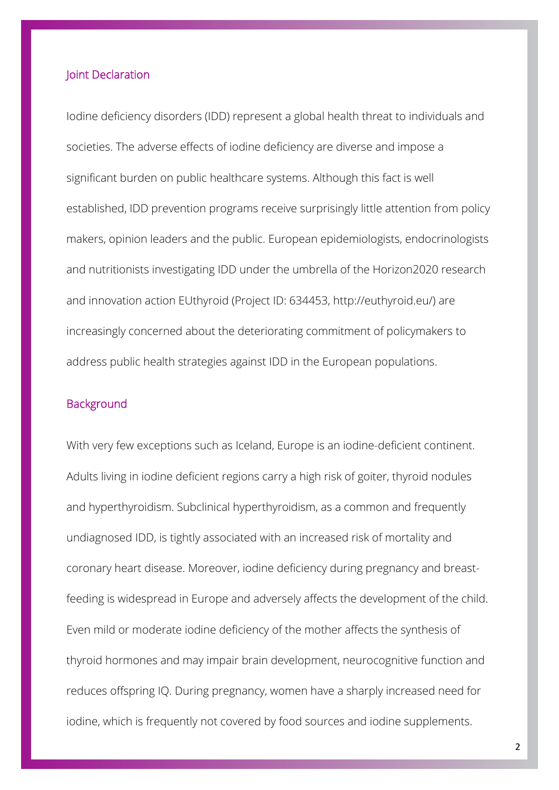#### Joint Declaration

Iodine deficiency disorders (IDD) represent a global health threat to individuals and societies. The adverse effects of iodine deficiency are diverse and impose a significant burden on public healthcare systems. Although this fact is well established, IDD prevention programs receive surprisingly little attention from policy makers, opinion leaders and the public. European epidemiologists, endocrinologists and nutritionists investigating IDD under the umbrella of the Horizon2020 research and innovation action EUthyroid (Project ID: 634453, http://euthyroid.eu/) are increasingly concerned about the deteriorating commitment of policymakers to address public health strategies against IDD in the European populations.

#### **Background**

With very few exceptions such as Iceland, Europe is an iodine-deficient continent. Adults living in iodine deficient regions carry a high risk of goiter, thyroid nodules and hyperthyroidism. Subclinical hyperthyroidism, as a common and frequently undiagnosed IDD, is tightly associated with an increased risk of mortality and coronary heart disease. Moreover, iodine deficiency during pregnancy and breastfeeding is widespread in Europe and adversely affects the development of the child. Even mild or moderate iodine deficiency of the mother affects the synthesis of thyroid hormones and may impair brain development, neurocognitive function and reduces offspring IQ. During pregnancy, women have a sharply increased need for iodine, which is frequently not covered by food sources and iodine supplements.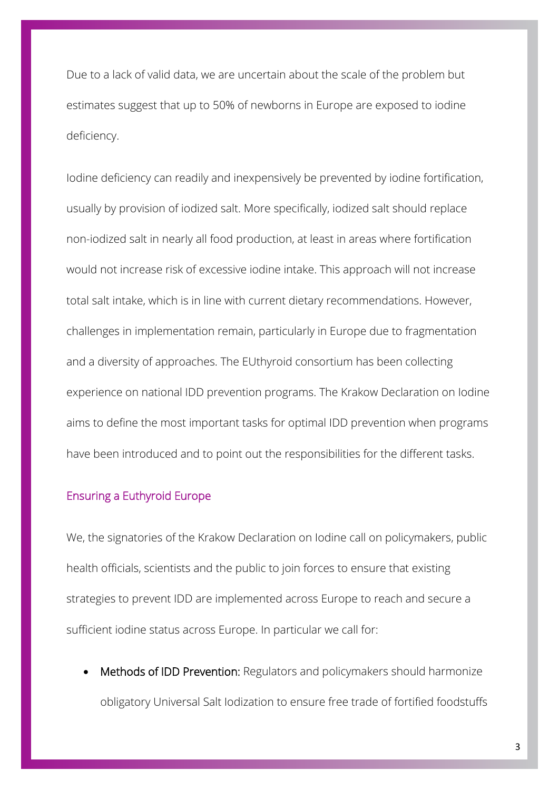Due to a lack of valid data, we are uncertain about the scale of the problem but estimates suggest that up to 50% of newborns in Europe are exposed to iodine deficiency.

Iodine deficiency can readily and inexpensively be prevented by iodine fortification, usually by provision of iodized salt. More specifically, iodized salt should replace non-iodized salt in nearly all food production, at least in areas where fortification would not increase risk of excessive iodine intake. This approach will not increase total salt intake, which is in line with current dietary recommendations. However, challenges in implementation remain, particularly in Europe due to fragmentation and a diversity of approaches. The EUthyroid consortium has been collecting experience on national IDD prevention programs. The Krakow Declaration on Iodine aims to define the most important tasks for optimal IDD prevention when programs have been introduced and to point out the responsibilities for the different tasks.

# Ensuring a Euthyroid Europe

We, the signatories of the Krakow Declaration on Iodine call on policymakers, public health officials, scientists and the public to join forces to ensure that existing strategies to prevent IDD are implemented across Europe to reach and secure a sufficient iodine status across Europe. In particular we call for:

Methods of IDD Prevention: Regulators and policymakers should harmonize obligatory Universal Salt Iodization to ensure free trade of fortified foodstuffs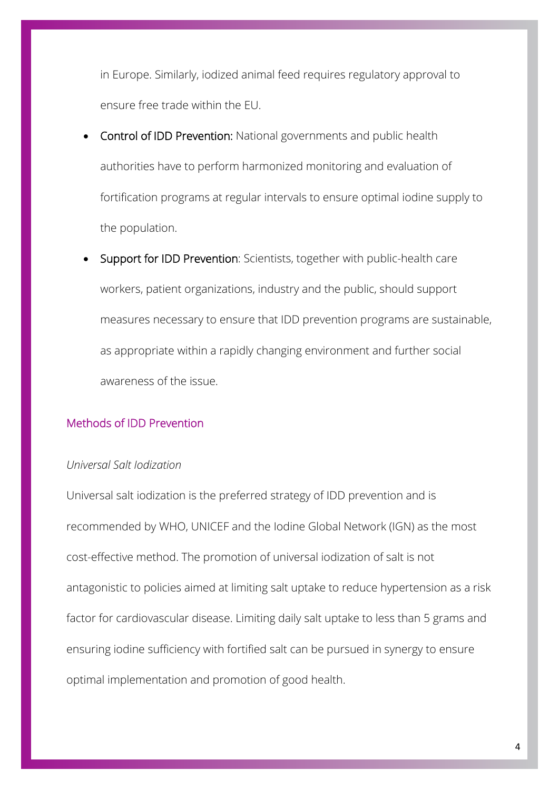in Europe. Similarly, iodized animal feed requires regulatory approval to ensure free trade within the EU.

- Control of IDD Prevention: National governments and public health authorities have to perform harmonized monitoring and evaluation of fortification programs at regular intervals to ensure optimal iodine supply to the population.
- Support for IDD Prevention: Scientists, together with public-health care workers, patient organizations, industry and the public, should support measures necessary to ensure that IDD prevention programs are sustainable, as appropriate within a rapidly changing environment and further social awareness of the issue.

# Methods of IDD Prevention

# *Universal Salt Iodization*

Universal salt iodization is the preferred strategy of IDD prevention and is recommended by WHO, UNICEF and the Iodine Global Network (IGN) as the most cost-effective method. The promotion of universal iodization of salt is not antagonistic to policies aimed at limiting salt uptake to reduce hypertension as a risk factor for cardiovascular disease. Limiting daily salt uptake to less than 5 grams and ensuring iodine sufficiency with fortified salt can be pursued in synergy to ensure optimal implementation and promotion of good health.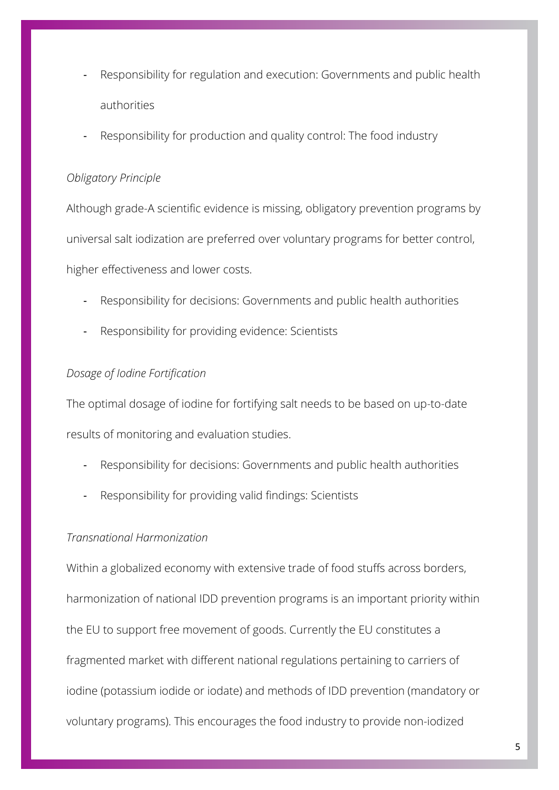- Responsibility for regulation and execution: Governments and public health authorities
- Responsibility for production and quality control: The food industry

# *Obligatory Principle*

Although grade-A scientific evidence is missing, obligatory prevention programs by universal salt iodization are preferred over voluntary programs for better control, higher effectiveness and lower costs.

- Responsibility for decisions: Governments and public health authorities
- Responsibility for providing evidence: Scientists

# *Dosage of Iodine Fortification*

The optimal dosage of iodine for fortifying salt needs to be based on up-to-date results of monitoring and evaluation studies.

- Responsibility for decisions: Governments and public health authorities
- Responsibility for providing valid findings: Scientists

# *Transnational Harmonization*

Within a globalized economy with extensive trade of food stuffs across borders, harmonization of national IDD prevention programs is an important priority within the EU to support free movement of goods. Currently the EU constitutes a fragmented market with different national regulations pertaining to carriers of iodine (potassium iodide or iodate) and methods of IDD prevention (mandatory or voluntary programs). This encourages the food industry to provide non-iodized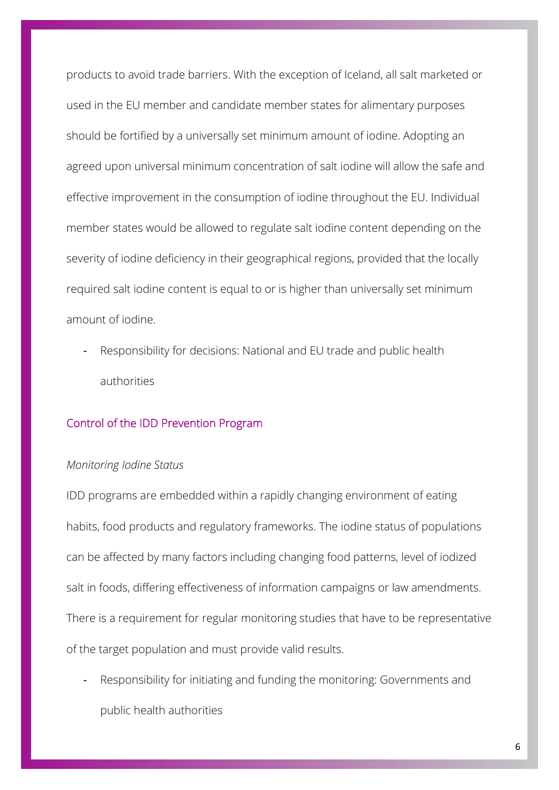products to avoid trade barriers. With the exception of Iceland, all salt marketed or used in the EU member and candidate member states for alimentary purposes should be fortified by a universally set minimum amount of iodine. Adopting an agreed upon universal minimum concentration of salt iodine will allow the safe and effective improvement in the consumption of iodine throughout the EU. Individual member states would be allowed to regulate salt iodine content depending on the severity of iodine deficiency in their geographical regions, provided that the locally required salt iodine content is equal to or is higher than universally set minimum amount of iodine.

- Responsibility for decisions: National and EU trade and public health authorities

# Control of the IDD Prevention Program

#### *Monitoring Iodine Status*

IDD programs are embedded within a rapidly changing environment of eating habits, food products and regulatory frameworks. The iodine status of populations can be affected by many factors including changing food patterns, level of iodized salt in foods, differing effectiveness of information campaigns or law amendments. There is a requirement for regular monitoring studies that have to be representative of the target population and must provide valid results.

Responsibility for initiating and funding the monitoring: Governments and public health authorities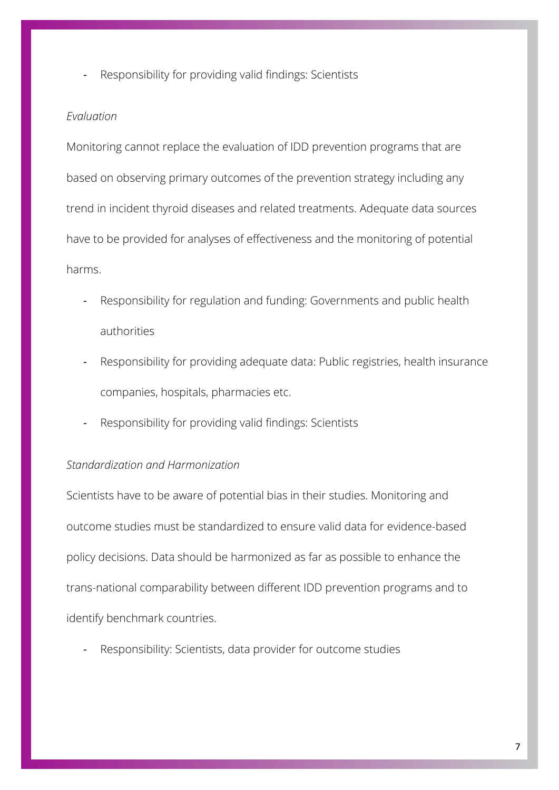Responsibility for providing valid findings: Scientists

# *Evaluation*

Monitoring cannot replace the evaluation of IDD prevention programs that are based on observing primary outcomes of the prevention strategy including any trend in incident thyroid diseases and related treatments. Adequate data sources have to be provided for analyses of effectiveness and the monitoring of potential harms.

- Responsibility for regulation and funding: Governments and public health authorities
- Responsibility for providing adequate data: Public registries, health insurance companies, hospitals, pharmacies etc.
- Responsibility for providing valid findings: Scientists

# *Standardization and Harmonization*

Scientists have to be aware of potential bias in their studies. Monitoring and outcome studies must be standardized to ensure valid data for evidence-based policy decisions. Data should be harmonized as far as possible to enhance the trans-national comparability between different IDD prevention programs and to identify benchmark countries.

Responsibility: Scientists, data provider for outcome studies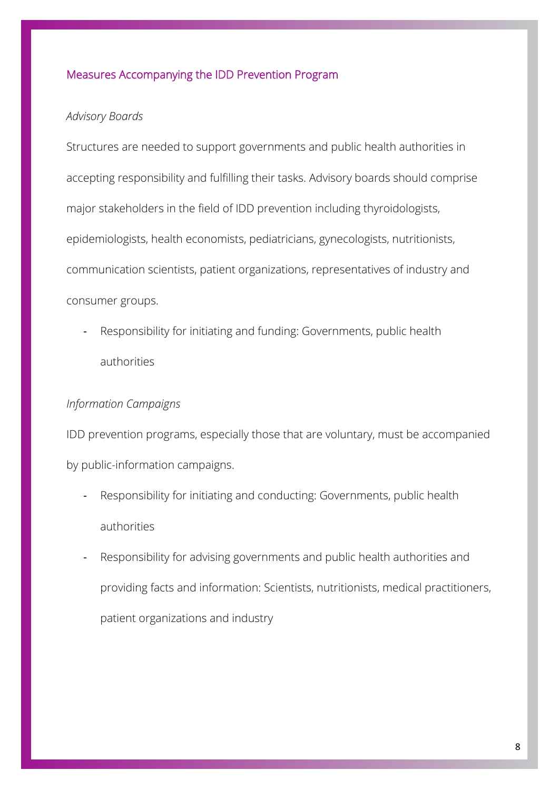# Measures Accompanying the IDD Prevention Program

### *Advisory Boards*

Structures are needed to support governments and public health authorities in accepting responsibility and fulfilling their tasks. Advisory boards should comprise major stakeholders in the field of IDD prevention including thyroidologists, epidemiologists, health economists, pediatricians, gynecologists, nutritionists, communication scientists, patient organizations, representatives of industry and consumer groups.

- Responsibility for initiating and funding: Governments, public health authorities

# *Information Campaigns*

IDD prevention programs, especially those that are voluntary, must be accompanied by public-information campaigns.

- Responsibility for initiating and conducting: Governments, public health authorities
- Responsibility for advising governments and public health authorities and providing facts and information: Scientists, nutritionists, medical practitioners, patient organizations and industry